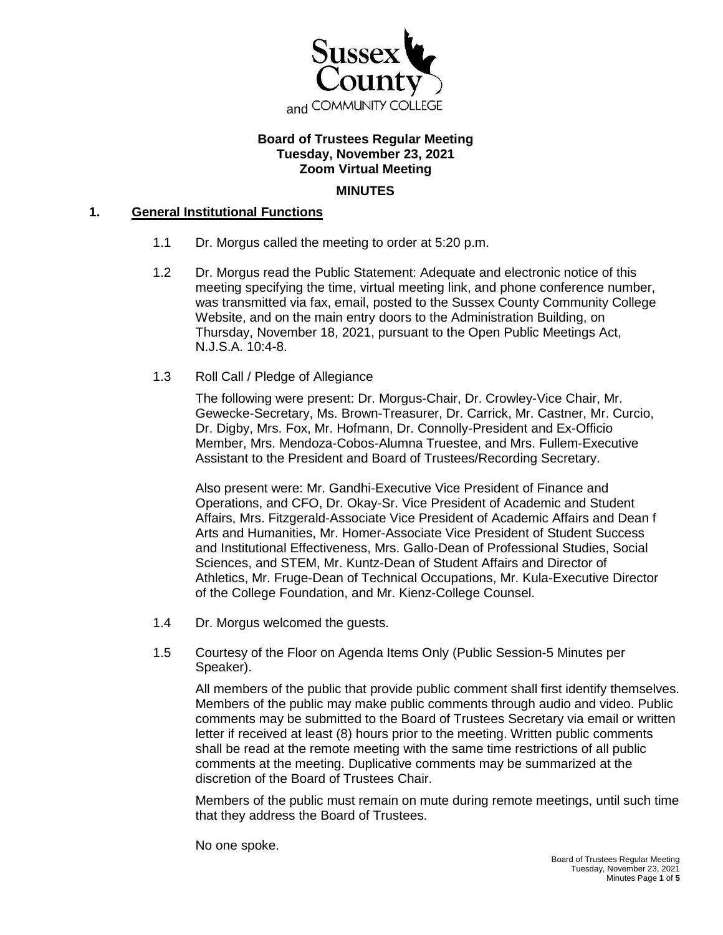

# **Board of Trustees Regular Meeting Tuesday, November 23, 2021 Zoom Virtual Meeting**

#### **MINUTES**

### **1. General Institutional Functions**

- 1.1 Dr. Morgus called the meeting to order at 5:20 p.m.
- 1.2 Dr. Morgus read the Public Statement: Adequate and electronic notice of this meeting specifying the time, virtual meeting link, and phone conference number, was transmitted via fax, email, posted to the Sussex County Community College Website, and on the main entry doors to the Administration Building, on Thursday, November 18, 2021, pursuant to the Open Public Meetings Act, N.J.S.A. 10:4-8.
- 1.3 Roll Call / Pledge of Allegiance

The following were present: Dr. Morgus-Chair, Dr. Crowley-Vice Chair, Mr. Gewecke-Secretary, Ms. Brown-Treasurer, Dr. Carrick, Mr. Castner, Mr. Curcio, Dr. Digby, Mrs. Fox, Mr. Hofmann, Dr. Connolly-President and Ex-Officio Member, Mrs. Mendoza-Cobos-Alumna Truestee, and Mrs. Fullem-Executive Assistant to the President and Board of Trustees/Recording Secretary.

Also present were: Mr. Gandhi-Executive Vice President of Finance and Operations, and CFO, Dr. Okay-Sr. Vice President of Academic and Student Affairs, Mrs. Fitzgerald-Associate Vice President of Academic Affairs and Dean f Arts and Humanities, Mr. Homer-Associate Vice President of Student Success and Institutional Effectiveness, Mrs. Gallo-Dean of Professional Studies, Social Sciences, and STEM, Mr. Kuntz-Dean of Student Affairs and Director of Athletics, Mr. Fruge-Dean of Technical Occupations, Mr. Kula-Executive Director of the College Foundation, and Mr. Kienz-College Counsel.

- 1.4 Dr. Morgus welcomed the guests.
- 1.5 Courtesy of the Floor on Agenda Items Only (Public Session-5 Minutes per Speaker).

All members of the public that provide public comment shall first identify themselves. Members of the public may make public comments through audio and video. Public comments may be submitted to the Board of Trustees Secretary via email or written letter if received at least (8) hours prior to the meeting. Written public comments shall be read at the remote meeting with the same time restrictions of all public comments at the meeting. Duplicative comments may be summarized at the discretion of the Board of Trustees Chair.

Members of the public must remain on mute during remote meetings, until such time that they address the Board of Trustees.

No one spoke.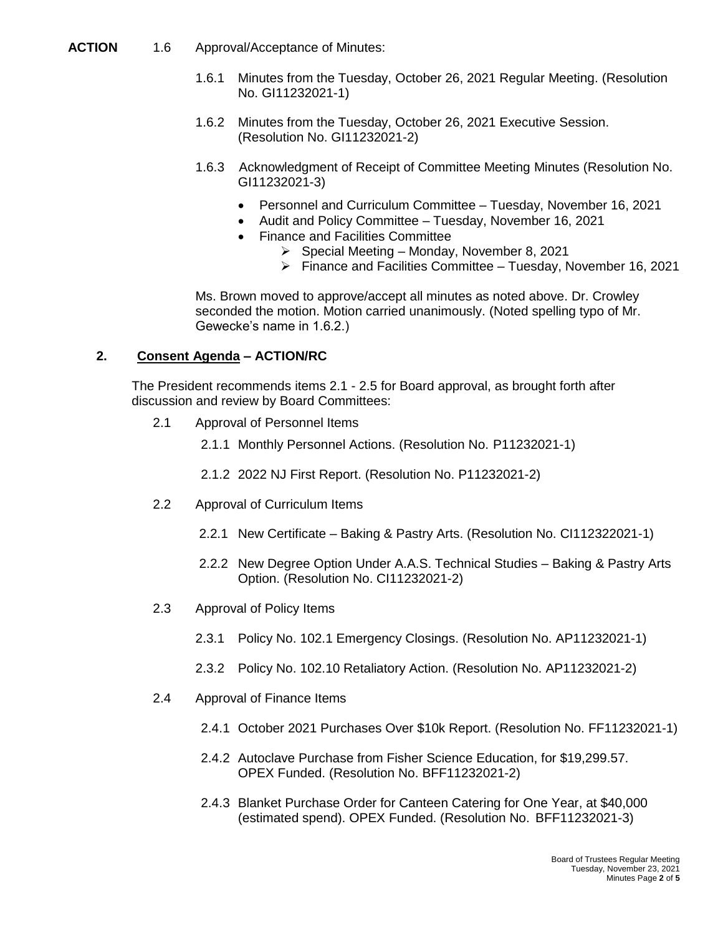- **ACTION** 1.6 Approval/Acceptance of Minutes:
	- 1.6.1 Minutes from the Tuesday, October 26, 2021 Regular Meeting. (Resolution No. GI11232021-1)
	- 1.6.2 Minutes from the Tuesday, October 26, 2021 Executive Session. (Resolution No. GI11232021-2)
	- 1.6.3 Acknowledgment of Receipt of Committee Meeting Minutes (Resolution No. GI11232021-3)
		- Personnel and Curriculum Committee Tuesday, November 16, 2021
		- Audit and Policy Committee Tuesday, November 16, 2021
		- Finance and Facilities Committee
			- $\triangleright$  Special Meeting Monday, November 8, 2021
			- $\triangleright$  Finance and Facilities Committee Tuesday, November 16, 2021

Ms. Brown moved to approve/accept all minutes as noted above. Dr. Crowley seconded the motion. Motion carried unanimously. (Noted spelling typo of Mr. Gewecke's name in 1.6.2.)

### **2. Consent Agenda – ACTION/RC**

The President recommends items 2.1 - 2.5 for Board approval, as brought forth after discussion and review by Board Committees:

- 2.1 Approval of Personnel Items
	- 2.1.1 Monthly Personnel Actions. (Resolution No. P11232021-1)
	- 2.1.2 2022 NJ First Report. (Resolution No. P11232021-2)
- 2.2 Approval of Curriculum Items
	- 2.2.1 New Certificate Baking & Pastry Arts. (Resolution No. CI112322021-1)
	- 2.2.2 New Degree Option Under A.A.S. Technical Studies Baking & Pastry Arts Option. (Resolution No. CI11232021-2)
- 2.3 Approval of Policy Items
	- 2.3.1 Policy No. 102.1 Emergency Closings. (Resolution No. AP11232021-1)
	- 2.3.2 Policy No. 102.10 Retaliatory Action. (Resolution No. AP11232021-2)
- 2.4 Approval of Finance Items
	- 2.4.1 October 2021 Purchases Over \$10k Report. (Resolution No. FF11232021-1)
	- 2.4.2 Autoclave Purchase from Fisher Science Education, for \$19,299.57. OPEX Funded. (Resolution No. BFF11232021-2)
	- 2.4.3 Blanket Purchase Order for Canteen Catering for One Year, at \$40,000 (estimated spend). OPEX Funded. (Resolution No. BFF11232021-3)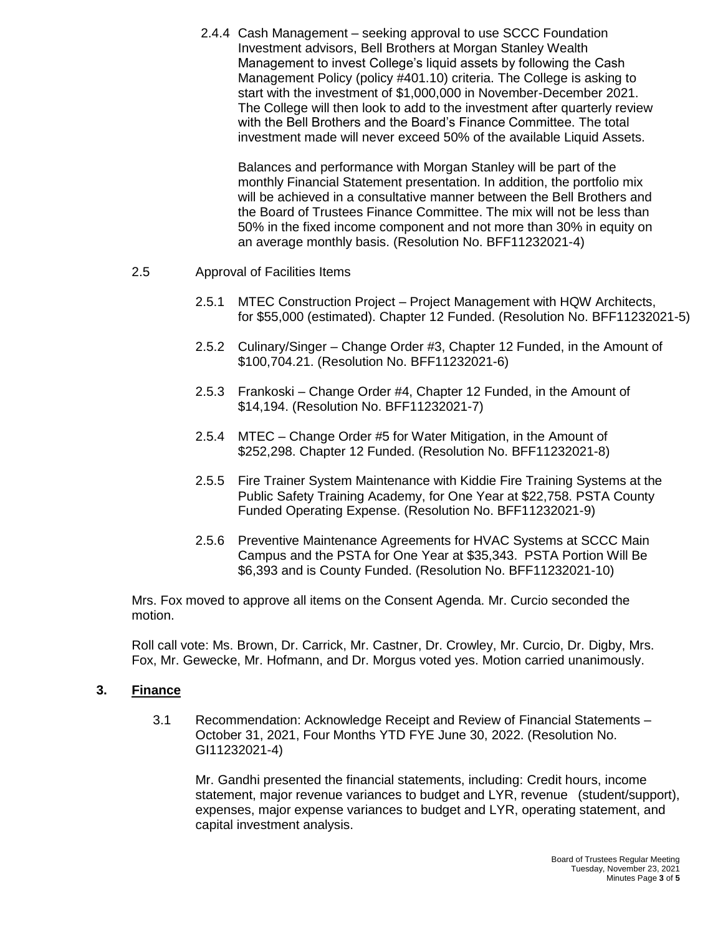2.4.4 Cash Management – seeking approval to use SCCC Foundation Investment advisors, Bell Brothers at Morgan Stanley Wealth Management to invest College's liquid assets by following the Cash Management Policy (policy #401.10) criteria. The College is asking to start with the investment of \$1,000,000 in November-December 2021. The College will then look to add to the investment after quarterly review with the Bell Brothers and the Board's Finance Committee. The total investment made will never exceed 50% of the available Liquid Assets.

Balances and performance with Morgan Stanley will be part of the monthly Financial Statement presentation. In addition, the portfolio mix will be achieved in a consultative manner between the Bell Brothers and the Board of Trustees Finance Committee. The mix will not be less than 50% in the fixed income component and not more than 30% in equity on an average monthly basis. (Resolution No. BFF11232021-4)

- 2.5 Approval of Facilities Items
	- 2.5.1 MTEC Construction Project Project Management with HQW Architects, for \$55,000 (estimated). Chapter 12 Funded. (Resolution No. BFF11232021-5)
	- 2.5.2 Culinary/Singer Change Order #3, Chapter 12 Funded, in the Amount of \$100,704.21. (Resolution No. BFF11232021-6)
	- 2.5.3 Frankoski Change Order #4, Chapter 12 Funded, in the Amount of \$14,194. (Resolution No. BFF11232021-7)
	- 2.5.4 MTEC Change Order #5 for Water Mitigation, in the Amount of \$252,298. Chapter 12 Funded. (Resolution No. BFF11232021-8)
	- 2.5.5 Fire Trainer System Maintenance with Kiddie Fire Training Systems at the Public Safety Training Academy, for One Year at \$22,758. PSTA County Funded Operating Expense. (Resolution No. BFF11232021-9)
	- 2.5.6 Preventive Maintenance Agreements for HVAC Systems at SCCC Main Campus and the PSTA for One Year at \$35,343. PSTA Portion Will Be \$6,393 and is County Funded. (Resolution No. BFF11232021-10)

Mrs. Fox moved to approve all items on the Consent Agenda. Mr. Curcio seconded the motion.

Roll call vote: Ms. Brown, Dr. Carrick, Mr. Castner, Dr. Crowley, Mr. Curcio, Dr. Digby, Mrs. Fox, Mr. Gewecke, Mr. Hofmann, and Dr. Morgus voted yes. Motion carried unanimously.

## **3. Finance**

3.1 Recommendation: Acknowledge Receipt and Review of Financial Statements – October 31, 2021, Four Months YTD FYE June 30, 2022. (Resolution No. GI11232021-4)

Mr. Gandhi presented the financial statements, including: Credit hours, income statement, major revenue variances to budget and LYR, revenue (student/support), expenses, major expense variances to budget and LYR, operating statement, and capital investment analysis.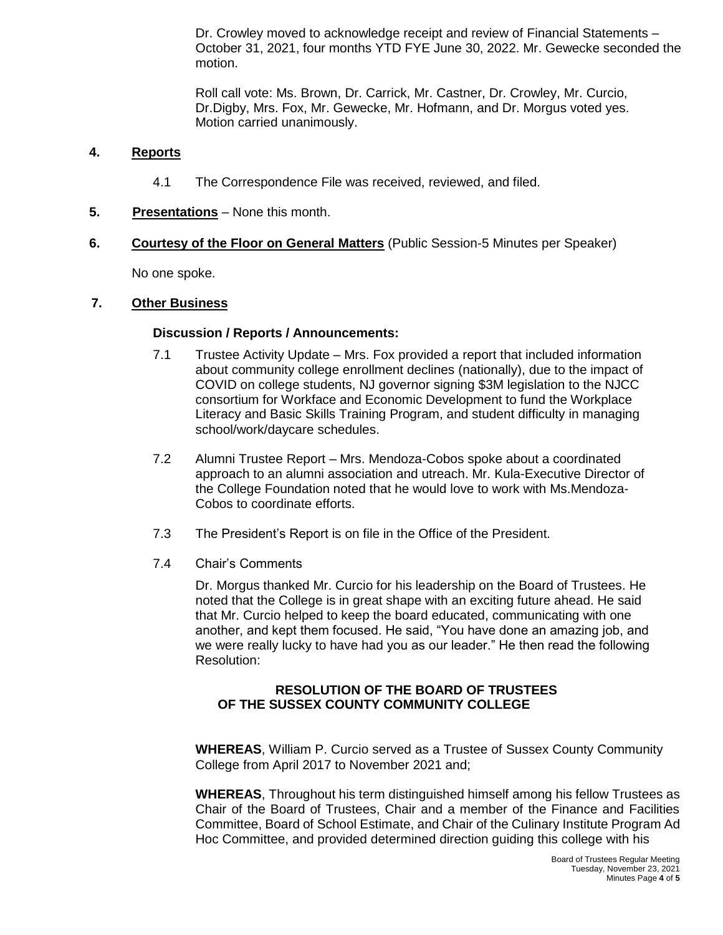Dr. Crowley moved to acknowledge receipt and review of Financial Statements – October 31, 2021, four months YTD FYE June 30, 2022. Mr. Gewecke seconded the motion.

Roll call vote: Ms. Brown, Dr. Carrick, Mr. Castner, Dr. Crowley, Mr. Curcio, Dr.Digby, Mrs. Fox, Mr. Gewecke, Mr. Hofmann, and Dr. Morgus voted yes. Motion carried unanimously.

## **4. Reports**

- 4.1 The Correspondence File was received, reviewed, and filed.
- **5. Presentations** None this month.
- **6. Courtesy of the Floor on General Matters** (Public Session-5 Minutes per Speaker)

No one spoke.

### **7. Other Business**

### **Discussion / Reports / Announcements:**

- 7.1 Trustee Activity Update Mrs. Fox provided a report that included information about community college enrollment declines (nationally), due to the impact of COVID on college students, NJ governor signing \$3M legislation to the NJCC consortium for Workface and Economic Development to fund the Workplace Literacy and Basic Skills Training Program, and student difficulty in managing school/work/daycare schedules.
- 7.2 Alumni Trustee Report Mrs. Mendoza-Cobos spoke about a coordinated approach to an alumni association and utreach. Mr. Kula-Executive Director of the College Foundation noted that he would love to work with Ms.Mendoza-Cobos to coordinate efforts.
- 7.3 The President's Report is on file in the Office of the President.
- 7.4 Chair's Comments

Dr. Morgus thanked Mr. Curcio for his leadership on the Board of Trustees. He noted that the College is in great shape with an exciting future ahead. He said that Mr. Curcio helped to keep the board educated, communicating with one another, and kept them focused. He said, "You have done an amazing job, and we were really lucky to have had you as our leader." He then read the following Resolution:

## **RESOLUTION OF THE BOARD OF TRUSTEES OF THE SUSSEX COUNTY COMMUNITY COLLEGE**

**WHEREAS**, William P. Curcio served as a Trustee of Sussex County Community College from April 2017 to November 2021 and;

**WHEREAS**, Throughout his term distinguished himself among his fellow Trustees as Chair of the Board of Trustees, Chair and a member of the Finance and Facilities Committee, Board of School Estimate, and Chair of the Culinary Institute Program Ad Hoc Committee, and provided determined direction guiding this college with his